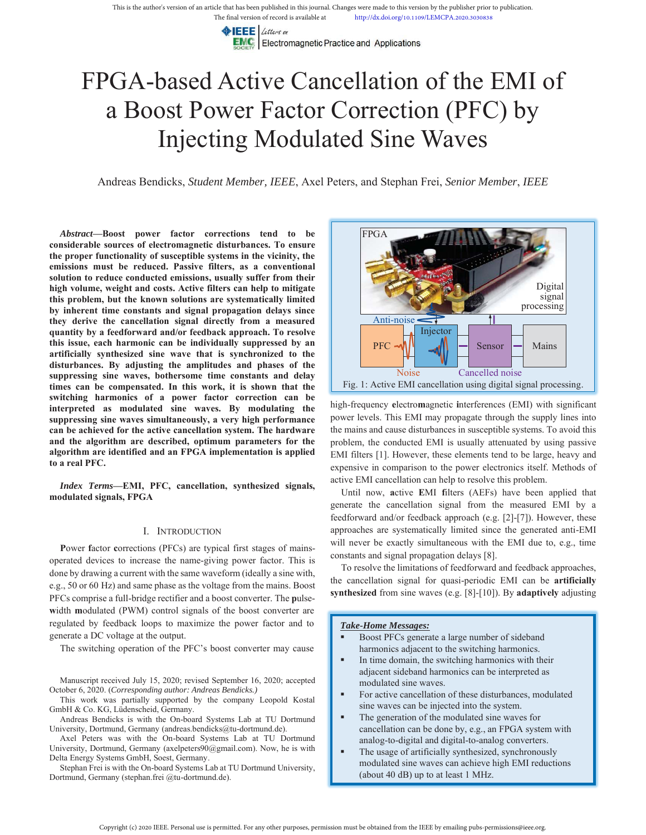EEE Letters or **EMC** Electromagnetic Practice and Applications

# FPGA-based Active Cancellation of the EMI of a Boost Power Factor Correction (PFC) by Injecting Modulated Sine Waves

Andreas Bendicks, *Student Member, IEEE*, Axel Peters, and Stephan Frei, *Senior Member*, *IEEE*

*Abstract***—Boost power factor corrections tend to be considerable sources of electromagnetic disturbances. To ensure the proper functionality of susceptible systems in the vicinity, the emissions must be reduced. Passive filters, as a conventional solution to reduce conducted emissions, usually suffer from their high volume, weight and costs. Active filters can help to mitigate this problem, but the known solutions are systematically limited by inherent time constants and signal propagation delays since they derive the cancellation signal directly from a measured quantity by a feedforward and/or feedback approach. To resolve this issue, each harmonic can be individually suppressed by an artificially synthesized sine wave that is synchronized to the disturbances. By adjusting the amplitudes and phases of the suppressing sine waves, bothersome time constants and delay times can be compensated. In this work, it is shown that the switching harmonics of a power factor correction can be interpreted as modulated sine waves. By modulating the suppressing sine waves simultaneously, a very high performance can be achieved for the active cancellation system. The hardware and the algorithm are described, optimum parameters for the algorithm are identified and an FPGA implementation is applied to a real PFC.** 

*Index Terms***—EMI, PFC, cancellation, synthesized signals, modulated signals, FPGA** 

## I. INTRODUCTION

**P**ower **f**actor **c**orrections (PFCs) are typical first stages of mainsoperated devices to increase the name-giving power factor. This is done by drawing a current with the same waveform (ideally a sine with, e.g., 50 or 60 Hz) and same phase as the voltage from the mains. Boost PFCs comprise a full-bridge rectifier and a boost converter. The **p**ulsewidth modulated (PWM) control signals of the boost converter are regulated by feedback loops to maximize the power factor and to generate a DC voltage at the output.

The switching operation of the PFC's boost converter may cause

Manuscript received July 15, 2020; revised September 16, 2020; accepted October 6, 2020. (*Corresponding author: Andreas Bendicks.)*

This work was partially supported by the company Leopold Kostal GmbH & Co. KG, Lüdenscheid, Germany.

Andreas Bendicks is with the On-board Systems Lab at TU Dortmund University, Dortmund, Germany (andreas.bendicks@tu-dortmund.de).

Axel Peters was with the On-board Systems Lab at TU Dortmund University, Dortmund, Germany (axelpeters90@gmail.com). Now, he is with Delta Energy Systems GmbH, Soest, Germany.

Stephan Frei is with the On-board Systems Lab at TU Dortmund University, Dortmund, Germany (stephan.frei @tu-dortmund.de).



high-frequency **e**lectro**m**agnetic **i**nterferences (EMI) with significant power levels. This EMI may propagate through the supply lines into the mains and cause disturbances in susceptible systems. To avoid this problem, the conducted EMI is usually attenuated by using passive EMI filters [1]. However, these elements tend to be large, heavy and expensive in comparison to the power electronics itself. Methods of active EMI cancellation can help to resolve this problem.

Until now, **a**ctive **E**MI **f**ilters (AEFs) have been applied that generate the cancellation signal from the measured EMI by a feedforward and/or feedback approach (e.g. [2]-[7]). However, these approaches are systematically limited since the generated anti-EMI will never be exactly simultaneous with the EMI due to, e.g., time constants and signal propagation delays [8].

To resolve the limitations of feedforward and feedback approaches, the cancellation signal for quasi-periodic EMI can be **artificially synthesized** from sine waves (e.g. [8]-[10]). By **adaptively** adjusting

#### *Take-Home Messages:*

- Boost PFCs generate a large number of sideband harmonics adjacent to the switching harmonics.
- In time domain, the switching harmonics with their adjacent sideband harmonics can be interpreted as modulated sine waves.
- For active cancellation of these disturbances, modulated sine waves can be injected into the system.
- The generation of the modulated sine waves for cancellation can be done by, e.g., an FPGA system with analog-to-digital and digital-to-analog converters.
- The usage of artificially synthesized, synchronously modulated sine waves can achieve high EMI reductions (about 40 dB) up to at least 1 MHz.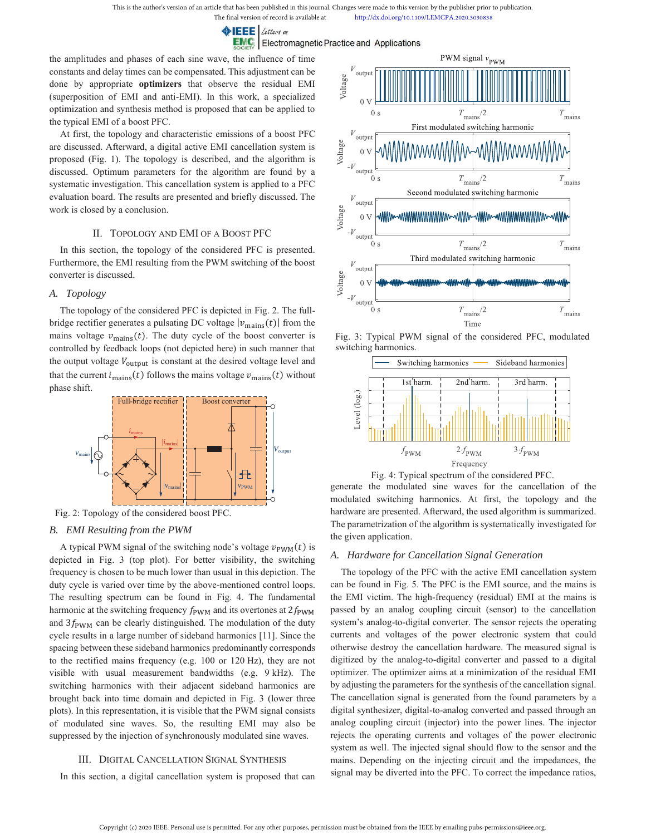The final version of record is available at http://dx.doi.org/10.1109/LEMCPA.2020.3030838

 $\triangleright$  **IEEE** Letters or

**EMC** Electromagnetic Practice and Applications

the amplitudes and phases of each sine wave, the influence of time constants and delay times can be compensated. This adjustment can be done by appropriate **optimizers** that observe the residual EMI (superposition of EMI and anti-EMI). In this work, a specialized optimization and synthesis method is proposed that can be applied to the typical EMI of a boost PFC.

At first, the topology and characteristic emissions of a boost PFC are discussed. Afterward, a digital active EMI cancellation system is proposed (Fig. 1). The topology is described, and the algorithm is discussed. Optimum parameters for the algorithm are found by a systematic investigation. This cancellation system is applied to a PFC evaluation board. The results are presented and briefly discussed. The work is closed by a conclusion.

# II. TOPOLOGY AND EMI OF A BOOST PFC

In this section, the topology of the considered PFC is presented. Furthermore, the EMI resulting from the PWM switching of the boost converter is discussed.

## *A. Topology*

The topology of the considered PFC is depicted in Fig. 2. The fullbridge rectifier generates a pulsating DC voltage  $|v_{\text{main}}(t)|$  from the mains voltage  $v_{\text{main}}(t)$ . The duty cycle of the boost converter is controlled by feedback loops (not depicted here) in such manner that the output voltage  $V_{\text{output}}$  is constant at the desired voltage level and that the current  $i_{\text{main}}(t)$  follows the mains voltage  $v_{\text{main}}(t)$  without phase shift.



Fig. 2: Topology of the considered boost PFC.

## *B. EMI Resulting from the PWM*

A typical PWM signal of the switching node's voltage  $v_{\text{PWM}}(t)$  is depicted in Fig. 3 (top plot). For better visibility, the switching frequency is chosen to be much lower than usual in this depiction. The duty cycle is varied over time by the above-mentioned control loops. The resulting spectrum can be found in Fig. 4. The fundamental harmonic at the switching frequency  $f_{\text{PWM}}$  and its overtones at  $2f_{\text{PWM}}$ and  $3f_{\text{PWM}}$  can be clearly distinguished. The modulation of the duty cycle results in a large number of sideband harmonics [11]. Since the spacing between these sideband harmonics predominantly corresponds to the rectified mains frequency (e.g. 100 or 120 Hz), they are not visible with usual measurement bandwidths (e.g. 9 kHz). The switching harmonics with their adjacent sideband harmonics are brought back into time domain and depicted in Fig. 3 (lower three plots). In this representation, it is visible that the PWM signal consists of modulated sine waves. So, the resulting EMI may also be suppressed by the injection of synchronously modulated sine waves.

# III. DIGITAL CANCELLATION SIGNAL SYNTHESIS

In this section, a digital cancellation system is proposed that can



Fig. 3: Typical PWM signal of the considered PFC, modulated switching harmonics.





generate the modulated sine waves for the cancellation of the modulated switching harmonics. At first, the topology and the hardware are presented. Afterward, the used algorithm is summarized. The parametrization of the algorithm is systematically investigated for the given application.

## *A. Hardware for Cancellation Signal Generation*

The topology of the PFC with the active EMI cancellation system can be found in Fig. 5. The PFC is the EMI source, and the mains is the EMI victim. The high-frequency (residual) EMI at the mains is passed by an analog coupling circuit (sensor) to the cancellation system's analog-to-digital converter. The sensor rejects the operating currents and voltages of the power electronic system that could otherwise destroy the cancellation hardware. The measured signal is digitized by the analog-to-digital converter and passed to a digital optimizer. The optimizer aims at a minimization of the residual EMI by adjusting the parameters for the synthesis of the cancellation signal. The cancellation signal is generated from the found parameters by a digital synthesizer, digital-to-analog converted and passed through an analog coupling circuit (injector) into the power lines. The injector rejects the operating currents and voltages of the power electronic system as well. The injected signal should flow to the sensor and the mains. Depending on the injecting circuit and the impedances, the signal may be diverted into the PFC. To correct the impedance ratios,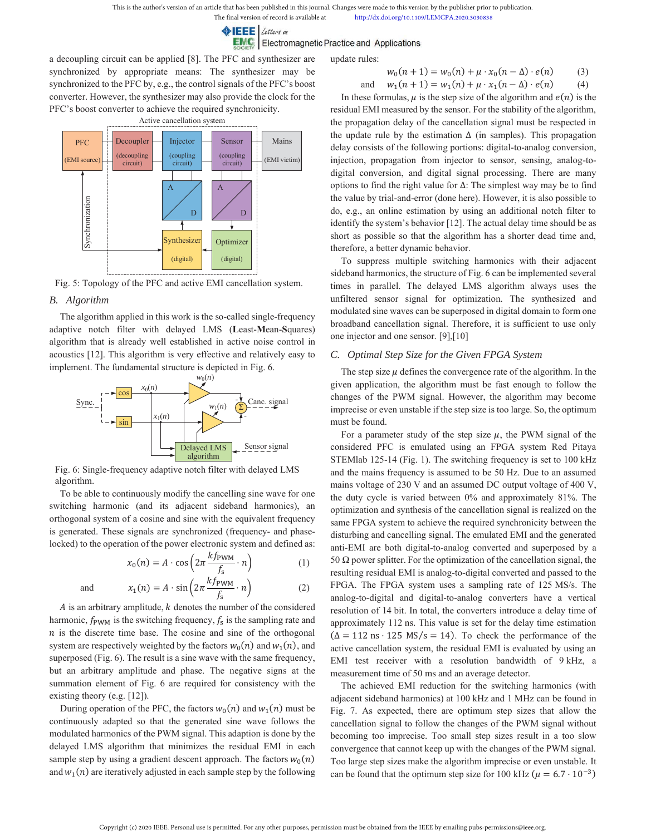**EEE** Letters on

**EMC** Electromagnetic Practice and Applications

a decoupling circuit can be applied [8]. The PFC and synthesizer are synchronized by appropriate means: The synthesizer may be synchronized to the PFC by, e.g., the control signals of the PFC's boost converter. However, the synthesizer may also provide the clock for the PFC's boost converter to achieve the required synchronicity.



Fig. 5: Topology of the PFC and active EMI cancellation system.

## *B. Algorithm*

The algorithm applied in this work is the so-called single-frequency adaptive notch filter with delayed LMS (**L**east-**M**ean-**S**quares) algorithm that is already well established in active noise control in acoustics [12]. This algorithm is very effective and relatively easy to implement. The fundamental structure is depicted in Fig. 6.



Fig. 6: Single-frequency adaptive notch filter with delayed LMS algorithm.

To be able to continuously modify the cancelling sine wave for one switching harmonic (and its adjacent sideband harmonics), an orthogonal system of a cosine and sine with the equivalent frequency is generated. These signals are synchronized (frequency- and phaselocked) to the operation of the power electronic system and defined as:

$$
x_0(n) = A \cdot \cos\left(2\pi \frac{k f_{\text{PWM}}}{f_s} \cdot n\right) \tag{1}
$$

and 
$$
x_1(n) = A \cdot \sin\left(2\pi \frac{k f_{\text{PWM}}}{f_s} \cdot n\right)
$$
 (2)

 $A$  is an arbitrary amplitude,  $k$  denotes the number of the considered harmonic,  $f_{\text{PWM}}$  is the switching frequency,  $f_s$  is the sampling rate and  $n$  is the discrete time base. The cosine and sine of the orthogonal system are respectively weighted by the factors  $w_0(n)$  and  $w_1(n)$ , and superposed (Fig. 6). The result is a sine wave with the same frequency, but an arbitrary amplitude and phase. The negative signs at the summation element of Fig. 6 are required for consistency with the existing theory (e.g. [12]).

During operation of the PFC, the factors  $w_0(n)$  and  $w_1(n)$  must be continuously adapted so that the generated sine wave follows the modulated harmonics of the PWM signal. This adaption is done by the delayed LMS algorithm that minimizes the residual EMI in each sample step by using a gradient descent approach. The factors  $w_0(n)$ and  $w_1(n)$  are iteratively adjusted in each sample step by the following update rules:

$$
w_0(n+1) = w_0(n) + \mu \cdot x_0(n-\Delta) \cdot e(n) \tag{3}
$$
  
and 
$$
w_1(n+1) = w_1(n) + \mu \cdot x_1(n-\Delta) \cdot e(n) \tag{4}
$$

In these formulas,  $\mu$  is the step size of the algorithm and  $e(n)$  is the residual EMI measured by the sensor. For the stability of the algorithm, the propagation delay of the cancellation signal must be respected in the update rule by the estimation  $\Delta$  (in samples). This propagation delay consists of the following portions: digital-to-analog conversion, injection, propagation from injector to sensor, sensing, analog-todigital conversion, and digital signal processing. There are many options to find the right value for  $\Delta$ : The simplest way may be to find the value by trial-and-error (done here). However, it is also possible to do, e.g., an online estimation by using an additional notch filter to identify the system's behavior [12]. The actual delay time should be as short as possible so that the algorithm has a shorter dead time and, therefore, a better dynamic behavior.

To suppress multiple switching harmonics with their adjacent sideband harmonics, the structure of Fig. 6 can be implemented several times in parallel. The delayed LMS algorithm always uses the unfiltered sensor signal for optimization. The synthesized and modulated sine waves can be superposed in digital domain to form one broadband cancellation signal. Therefore, it is sufficient to use only one injector and one sensor. [9],[10]

## *C. Optimal Step Size for the Given FPGA System*

The step size  $\mu$  defines the convergence rate of the algorithm. In the given application, the algorithm must be fast enough to follow the changes of the PWM signal. However, the algorithm may become imprecise or even unstable if the step size is too large. So, the optimum must be found.

For a parameter study of the step size  $\mu$ , the PWM signal of the considered PFC is emulated using an FPGA system Red Pitaya STEMlab 125-14 (Fig. 1). The switching frequency is set to 100 kHz and the mains frequency is assumed to be 50 Hz. Due to an assumed mains voltage of 230 V and an assumed DC output voltage of 400 V, the duty cycle is varied between 0% and approximately 81%. The optimization and synthesis of the cancellation signal is realized on the same FPGA system to achieve the required synchronicity between the disturbing and cancelling signal. The emulated EMI and the generated anti-EMI are both digital-to-analog converted and superposed by a 50 Ω power splitter. For the optimization of the cancellation signal, the resulting residual EMI is analog-to-digital converted and passed to the FPGA. The FPGA system uses a sampling rate of 125 MS/s. The analog-to-digital and digital-to-analog converters have a vertical resolution of 14 bit. In total, the converters introduce a delay time of approximately 112 ns. This value is set for the delay time estimation  $(\Delta = 112 \text{ ns} \cdot 125 \text{ MS/s} = 14)$ . To check the performance of the active cancellation system, the residual EMI is evaluated by using an EMI test receiver with a resolution bandwidth of 9 kHz, a measurement time of 50 ms and an average detector.

The achieved EMI reduction for the switching harmonics (with adjacent sideband harmonics) at 100 kHz and 1 MHz can be found in Fig. 7. As expected, there are optimum step sizes that allow the cancellation signal to follow the changes of the PWM signal without becoming too imprecise. Too small step sizes result in a too slow convergence that cannot keep up with the changes of the PWM signal. Too large step sizes make the algorithm imprecise or even unstable. It can be found that the optimum step size for 100 kHz ( $\mu = 6.7 \cdot 10^{-3}$ )